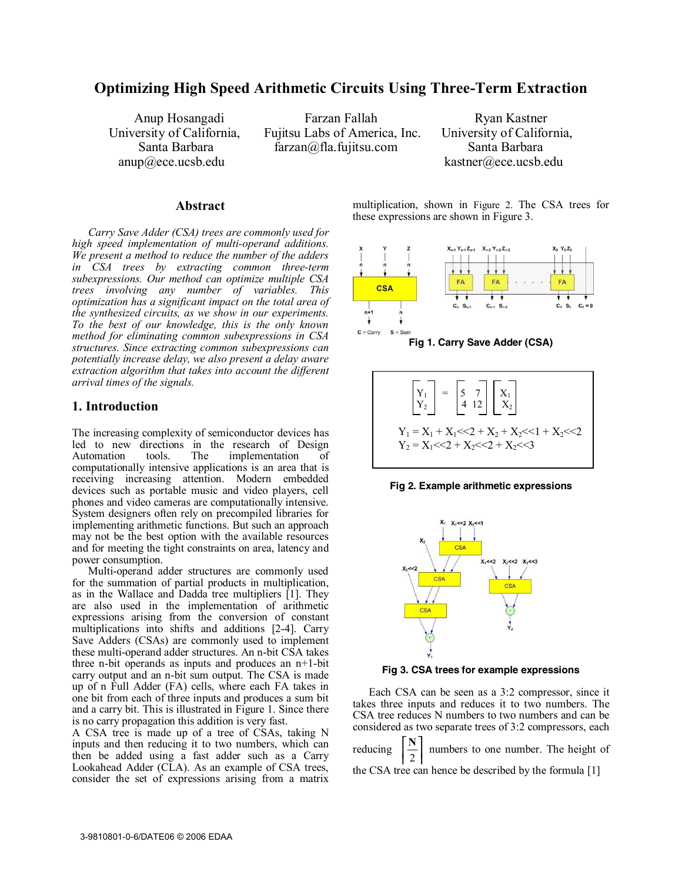# **Optimizing High Speed Arithmetic Circuits Using Three-Term Extraction**

anup@ece.ucsb.edu kastner@ece.ucsb.edu

Anup Hosangadi **Farzan Fallah** Ryan Kastner University of California, Fujitsu Labs of America, Inc. University of California, Santa Barbara **farzan@fla.fujitsu.com** Santa Barbara

### **Abstract**

*Carry Save Adder (CSA) trees are commonly used for high speed implementation of multi-operand additions. We present a method to reduce the number of the adders in CSA trees by extracting common three-term subexpressions. Our method can optimize multiple CSA trees involving any number of variables. This optimization has a significant impact on the total area of the synthesized circuits, as we show in our experiments. To the best of our knowledge, this is the only known method for eliminating common subexpressions in CSA structures. Since extracting common subexpressions can potentially increase delay, we also present a delay aware extraction algorithm that takes into account the different arrival times of the signals.* 

# **1. Introduction**

The increasing complexity of semiconductor devices has led to new directions in the research of Design tools. The implementation of computationally intensive applications is an area that is receiving increasing attention. Modern embedded devices such as portable music and video players, cell phones and video cameras are computationally intensive. System designers often rely on precompiled libraries for implementing arithmetic functions. But such an approach may not be the best option with the available resources and for meeting the tight constraints on area, latency and power consumption.

 Multi-operand adder structures are commonly used for the summation of partial products in multiplication, as in the Wallace and Dadda tree multipliers [1]. They are also used in the implementation of arithmetic expressions arising from the conversion of constant multiplications into shifts and additions [2-4]. Carry Save Adders (CSAs) are commonly used to implement these multi-operand adder structures. An n-bit CSA takes three n-bit operands as inputs and produces an n+1-bit carry output and an n-bit sum output. The CSA is made up of n Full Adder (FA) cells, where each FA takes in one bit from each of three inputs and produces a sum bit and a carry bit. This is illustrated in Figure 1. Since there is no carry propagation this addition is very fast.

A CSA tree is made up of a tree of CSAs, taking N inputs and then reducing it to two numbers, which can then be added using a fast adder such as a Carry Lookahead Adder (CLA). As an example of CSA trees, consider the set of expressions arising from a matrix multiplication, shown in Figure 2. The CSA trees for these expressions are shown in Figure 3.







**Fig 2. Example arithmetic expressions** 



**Fig 3. CSA trees for example expressions** 

 Each CSA can be seen as a 3:2 compressor, since it takes three inputs and reduces it to two numbers. The CSA tree reduces N numbers to two numbers and can be considered as two separate trees of 3:2 compressors, each

reducing  $\vert 2 \vert$  $\left|\frac{N}{2}\right|$ I 2 numbers to one number. The height of the CSA tree can hence be described by the formula [1]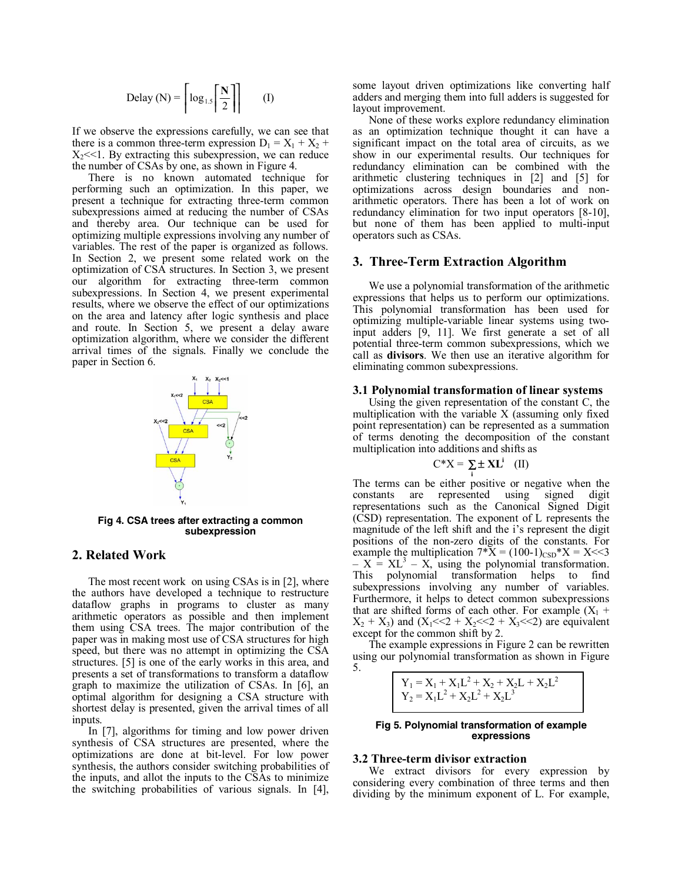$$
Delay (N) = \left\lceil \log_{1.5} \left\lceil \frac{N}{2} \right\rceil \right\rceil \qquad (I)
$$

If we observe the expressions carefully, we can see that there is a common three-term expression  $D_1 = X_1 + X_2 +$  $X_2 \leq 1$ . By extracting this subexpression, we can reduce the number of CSAs by one, as shown in Figure 4.

 There is no known automated technique for performing such an optimization. In this paper, we present a technique for extracting three-term common subexpressions aimed at reducing the number of CSAs and thereby area. Our technique can be used for optimizing multiple expressions involving any number of variables. The rest of the paper is organized as follows. In Section 2, we present some related work on the optimization of CSA structures. In Section 3, we present our algorithm for extracting three-term common subexpressions. In Section 4, we present experimental results, where we observe the effect of our optimizations on the area and latency after logic synthesis and place and route. In Section 5, we present a delay aware optimization algorithm, where we consider the different arrival times of the signals. Finally we conclude the paper in Section 6.



**Fig 4. CSA trees after extracting a common subexpression** 

### **2. Related Work**

The most recent work on using CSAs is in [2], where the authors have developed a technique to restructure dataflow graphs in programs to cluster as many arithmetic operators as possible and then implement them using CSA trees. The major contribution of the paper was in making most use of CSA structures for high speed, but there was no attempt in optimizing the CSA structures. [5] is one of the early works in this area, and presents a set of transformations to transform a dataflow graph to maximize the utilization of CSAs. In [6], an optimal algorithm for designing a CSA structure with shortest delay is presented, given the arrival times of all inputs.

 In [7], algorithms for timing and low power driven synthesis of CSA structures are presented, where the optimizations are done at bit-level. For low power synthesis, the authors consider switching probabilities of the inputs, and allot the inputs to the CSAs to minimize the switching probabilities of various signals. In [4],

some layout driven optimizations like converting half adders and merging them into full adders is suggested for layout improvement.

None of these works explore redundancy elimination as an optimization technique thought it can have a significant impact on the total area of circuits, as we show in our experimental results. Our techniques for redundancy elimination can be combined with the arithmetic clustering techniques in [2] and [5] for optimizations across design boundaries and nonarithmetic operators. There has been a lot of work on redundancy elimination for two input operators [8-10], but none of them has been applied to multi-input operators such as CSAs.

### **3. Three-Term Extraction Algorithm**

 We use a polynomial transformation of the arithmetic expressions that helps us to perform our optimizations. This polynomial transformation has been used for optimizing multiple-variable linear systems using twoinput adders [9, 11]. We first generate a set of all potential three-term common subexpressions, which we call as **divisors**. We then use an iterative algorithm for eliminating common subexpressions.

#### **3.1 Polynomial transformation of linear systems**

 Using the given representation of the constant C, the multiplication with the variable X (assuming only fixed point representation) can be represented as a summation of terms denoting the decomposition of the constant multiplication into additions and shifts as

$$
C^*X = \sum_i \pm \mathbf{X} \mathbf{L}^i \quad (II)
$$

The terms can be either positive or negative when the constants are represented using signed digit representations such as the Canonical Signed Digit (CSD) representation. The exponent of L represents the magnitude of the left shift and the i's represent the digit positions of the non-zero digits of the constants. For example the multiplication  $7^*X = (100-1)_{CSD}^*X = X \le 3$  $- X = XL^3 - X$ , using the polynomial transformation. This polynomial transformation helps to find subexpressions involving any number of variables. Furthermore, it helps to detect common subexpressions that are shifted forms of each other. For example  $(X_1 +$  $X_2 + X_3$ ) and  $(X_1 \leq 2 + X_2 \leq 2 + X_3 \leq 2)$  are equivalent except for the common shift by 2.

 The example expressions in Figure 2 can be rewritten using our polynomial transformation as shown in Figure 5.

$$
Y_1 = X_1 + X_1L^2 + X_2 + X_2L + X_2L^2
$$
  
\n
$$
Y_2 = X_1L^2 + X_2L^2 + X_2L^3
$$

#### **Fig 5. Polynomial transformation of example expressions**

### **3.2 Three-term divisor extraction**

 We extract divisors for every expression by considering every combination of three terms and then dividing by the minimum exponent of L. For example,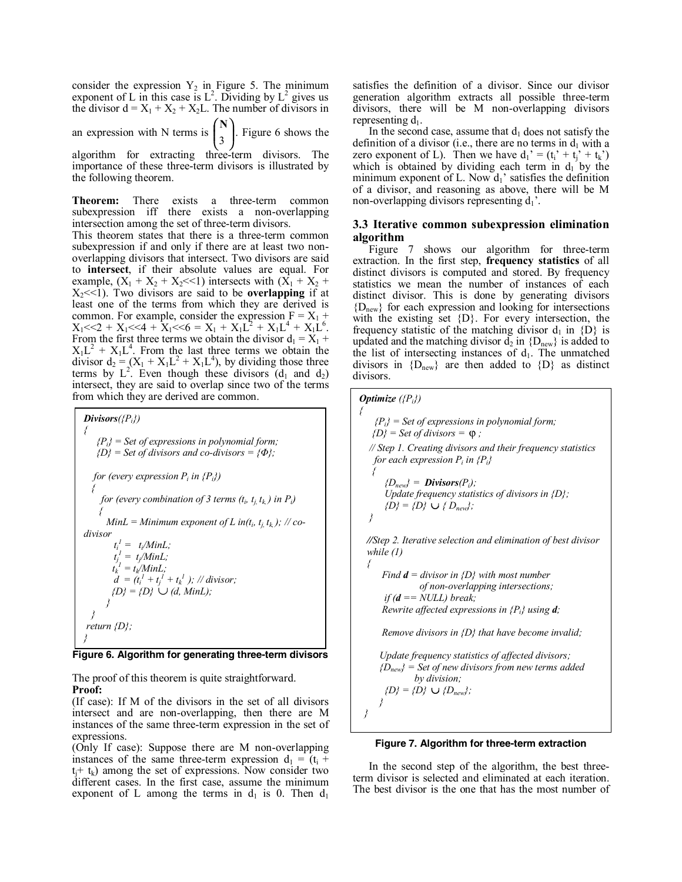consider the expression  $Y_2$  in Figure 5. The minimum exponent of L in this case is  $L^2$ . Dividing by  $L^2$  gives us the divisor  $d = X_1 + X_2 + X_2L$ . The number of divisors in

an expression with N terms is  $\begin{bmatrix} 1 \\ 3 \end{bmatrix}$  $\mathcal{L}$ I ſ 3 **N**). Figure 6 shows the

 $\big)$ ∖ algorithm for extracting three-term divisors. The importance of these three-term divisors is illustrated by the following theorem.

**Theorem:** There exists a three-term common subexpression iff there exists a non-overlapping intersection among the set of three-term divisors.

This theorem states that there is a three-term common subexpression if and only if there are at least two nonoverlapping divisors that intersect. Two divisors are said to **intersect**, if their absolute values are equal. For example,  $(X_1 + X_2 + X_2 \le 1)$  intersects with  $(X_1 + X_2 + X_3 \le 1)$  $X_2 \leq 1$ ). Two divisors are said to be **overlapping** if at least one of the terms from which they are derived is common. For example, consider the expression  $F = X_1 +$  $X_1 \ll 2 + X_1 \ll 4 + X_1 \ll 6 = X_1 + X_1 L^2 + X_1 L^4 + X_1 L^6.$ From the first three terms we obtain the divisor  $d_1 = X_1 +$  $X_1L^2 + X_1L^4$ . From the last three terms we obtain the divisor  $d_2 = (X_1 + X_1L^2 + X_1L^4)$ , by dividing those three terms by  $L^2$ . Even though these divisors  $(d_1 \text{ and } d_2)$ intersect, they are said to overlap since two of the terms from which they are derived are common.

*Divisors({Pi}) { {Pi} = Set of expressions in polynomial form; {D} = Set of divisors and co-divisors = {Φ}; for (every expression Pi in {Pi}) { for (every combination of 3 terms*  $(t_i, t_j, t_k)$  *in*  $P_i$ *) {*   $MinL = Minimum exponent of L in(t<sub>i</sub>, t<sub>i</sub>, t<sub>k</sub>)$ ; // co*divisor*   $t_i^{\,l} = t_i / MinL;$  $t_i^{\perp} = t_i / MinL;$  $t_k^{\prime\,\,l} = t_k^{\prime\prime}$ *MinL*;  $d = (t_i^1 + t_j^1 + t_k^1)$ ; // divisor;  $\{D\} = \{D\} \cup (d, MinL);$  *} } return {D}; }* 

### **Figure 6. Algorithm for generating three-term divisors**

The proof of this theorem is quite straightforward. **Proof:** 

(If case): If M of the divisors in the set of all divisors intersect and are non-overlapping, then there are M instances of the same three-term expression in the set of expressions.

(Only If case): Suppose there are M non-overlapping instances of the same three-term expression  $d_1 = (t_i +$  $t_i$ +  $t_k$ ) among the set of expressions. Now consider two different cases. In the first case, assume the minimum exponent of L among the terms in  $d_1$  is 0. Then  $d_1$ 

satisfies the definition of a divisor. Since our divisor generation algorithm extracts all possible three-term divisors, there will be M non-overlapping divisors representing  $d_1$ .

In the second case, assume that  $d_1$  does not satisfy the definition of a divisor (i.e., there are no terms in  $d_1$  with a zero exponent of L). Then we have  $d_1' = (t_i' + t_j' + t_k')$ which is obtained by dividing each term in  $d_1$  by the minimum exponent of L. Now  $d_1$ ' satisfies the definition of a divisor, and reasoning as above, there will be M non-overlapping divisors representing  $d_1$ '.

### **3.3 Iterative common subexpression elimination algorithm**

 Figure 7 shows our algorithm for three-term extraction. In the first step, **frequency statistics** of all distinct divisors is computed and stored. By frequency statistics we mean the number of instances of each distinct divisor. This is done by generating divisors  ${D_{new}}$  for each expression and looking for intersections with the existing set {D}. For every intersection, the frequency statistic of the matching divisor  $d_1$  in  $\{D\}$  is updated and the matching divisor  $d_2$  in  ${D_{new}}$  is added to the list of intersecting instances of  $d_1$ . The unmatched divisors in  ${D_{new}}$  are then added to  ${D}$  as distinct divisors.

-

*Optimize ({Pi}) { {Pi} = Set of expressions in polynomial form;*   $\{D\}$  = *Set of divisors* =  $\varphi$  *; // Step 1. Creating divisors and their frequency statistics for each expression*  $P_i$  *in*  $\{P_i\}$  *{*   ${D_{new}} = Divisors(P_i);$  *Update frequency statistics of divisors in {D}; {D} = {D}* ∪ *{ Dnew}; } //Step 2. Iterative selection and elimination of best divisor while (1) { Find d = divisor in*  $\{D\}$  *with most number of non-overlapping intersections; if (d == NULL) break; Rewrite affected expressions in {Pi} using d; Remove divisors in {D} that have become invalid; Update frequency statistics of affected divisors; {Dnew} = Set of new divisors from new terms added by division; {D} = {D}* ∪ *{Dnew}; } }* 

### **Figure 7. Algorithm for three-term extraction**

 In the second step of the algorithm, the best threeterm divisor is selected and eliminated at each iteration. The best divisor is the one that has the most number of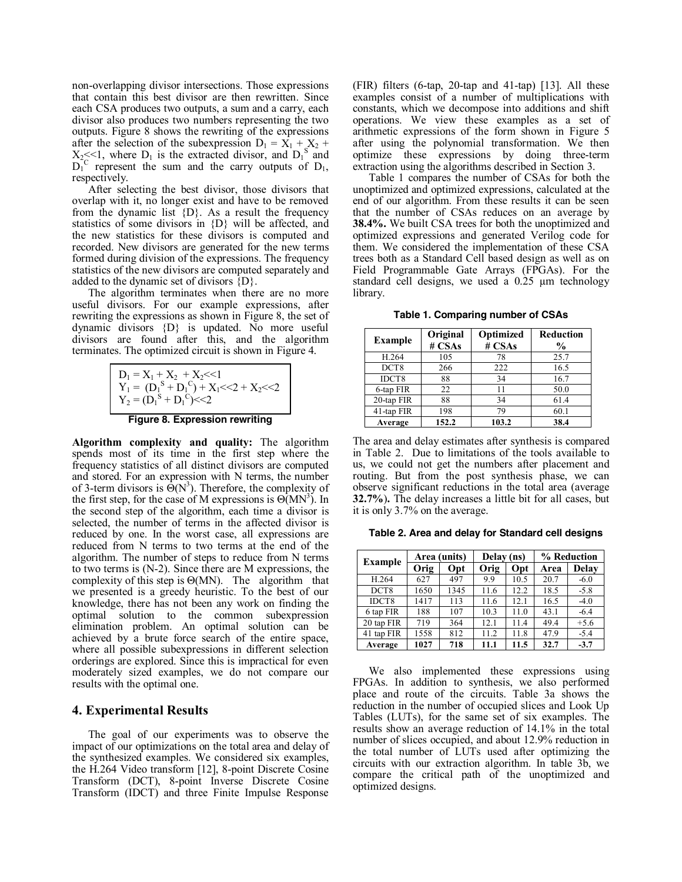non-overlapping divisor intersections. Those expressions that contain this best divisor are then rewritten. Since each CSA produces two outputs, a sum and a carry, each divisor also produces two numbers representing the two outputs. Figure 8 shows the rewriting of the expressions after the selection of the subexpression  $D_1 = X_1 + X_2 +$  $X_2 \leq 1$ , where  $D_1$  is the extracted divisor, and  $D_1^S$  and  $D_1^C$  represent the sum and the carry outputs of  $D_1$ , respectively.

 After selecting the best divisor, those divisors that overlap with it, no longer exist and have to be removed from the dynamic list  ${D}$ . As a result the frequency statistics of some divisors in {D} will be affected, and the new statistics for these divisors is computed and recorded. New divisors are generated for the new terms formed during division of the expressions. The frequency statistics of the new divisors are computed separately and added to the dynamic set of divisors {D}.

 The algorithm terminates when there are no more useful divisors. For our example expressions, after rewriting the expressions as shown in Figure 8, the set of dynamic divisors {D} is updated. No more useful divisors are found after this, and the algorithm terminates. The optimized circuit is shown in Figure 4.

$$
D_1 = X_1 + X_2 + X_2 << 1
$$
\n
$$
Y_1 = (D_1^S + D_1^C) + X_1 << 2 + X_2 << 2
$$
\n
$$
Y_2 = (D_1^S + D_1^C) << 2
$$
\nFigure 8. Expression rewriting

**Algorithm complexity and quality:** The algorithm spends most of its time in the first step where the frequency statistics of all distinct divisors are computed and stored. For an expression with N terms, the number of 3-term divisors is  $\dot{\Theta}(N^3)$ . Therefore, the complexity of the first step, for the case of M expressions is  $\Theta(MN^3)$ . In the second step of the algorithm, each time a divisor is selected, the number of terms in the affected divisor is reduced by one. In the worst case, all expressions are reduced from N terms to two terms at the end of the algorithm. The number of steps to reduce from N terms to two terms is (N-2). Since there are M expressions, the complexity of this step is  $\Theta(MN)$ . The algorithm that we presented is a greedy heuristic. To the best of our knowledge, there has not been any work on finding the optimal solution to the common subexpression elimination problem. An optimal solution can be achieved by a brute force search of the entire space, where all possible subexpressions in different selection orderings are explored. Since this is impractical for even moderately sized examples, we do not compare our results with the optimal one.

# **4. Experimental Results**

 The goal of our experiments was to observe the impact of our optimizations on the total area and delay of the synthesized examples. We considered six examples, the H.264 Video transform [12], 8-point Discrete Cosine Transform (DCT), 8-point Inverse Discrete Cosine Transform (IDCT) and three Finite Impulse Response

(FIR) filters (6-tap, 20-tap and 41-tap) [13]. All these examples consist of a number of multiplications with constants, which we decompose into additions and shift operations. We view these examples as a set of arithmetic expressions of the form shown in Figure 5 after using the polynomial transformation. We then optimize these expressions by doing three-term extraction using the algorithms described in Section 3.

 Table 1 compares the number of CSAs for both the unoptimized and optimized expressions, calculated at the end of our algorithm. From these results it can be seen that the number of CSAs reduces on an average by **38.4%.** We built CSA trees for both the unoptimized and optimized expressions and generated Verilog code for them. We considered the implementation of these CSA trees both as a Standard Cell based design as well as on Field Programmable Gate Arrays (FPGAs). For the standard cell designs, we used a 0.25 µm technology library.

**Table 1. Comparing number of CSAs** 

| Example    | Original<br># CSAs | Optimized<br># CSAs | <b>Reduction</b><br>$\frac{0}{0}$ |
|------------|--------------------|---------------------|-----------------------------------|
| H.264      | 105                | 78                  | 25.7                              |
| DCT8       | 266                | 222                 | 16.5                              |
| IDCT8      | 88                 | 34                  | 16.7                              |
| 6-tap FIR  | 22                 | 11                  | 50.0                              |
| 20-tap FIR | 88                 | 34                  | 61.4                              |
| 41-tap FIR | 198                | 79                  | 60.1                              |
| Average    | 152.2              | 103.2               | 38.4                              |

The area and delay estimates after synthesis is compared in Table 2. Due to limitations of the tools available to us, we could not get the numbers after placement and routing. But from the post synthesis phase, we can observe significant reductions in the total area (average **32.7%**)**.** The delay increases a little bit for all cases, but it is only 3.7% on the average.

**Table 2. Area and delay for Standard cell designs** 

| Example    | Area (units) |      | Delay (ns) |      | % Reduction |        |
|------------|--------------|------|------------|------|-------------|--------|
|            | Orig         | Opt  | Orig       | Opt  | Area        | Delay  |
| H.264      | 627          | 497  | 9.9        | 10.5 | 20.7        | $-6.0$ |
| DCT8       | 1650         | 1345 | 11.6       | 12.2 | 18.5        | $-5.8$ |
| IDCT8      | 1417         | 113  | 11.6       | 12.1 | 16.5        | $-4.0$ |
| 6 tap FIR  | 188          | 107  | 10.3       | 11.0 | 43.1        | $-6.4$ |
| 20 tap FIR | 719          | 364  | 12.1       | 11.4 | 49.4        | $+5.6$ |
| 41 tap FIR | 1558         | 812  | 11.2       | 11.8 | 47.9        | $-5.4$ |
| Average    | 1027         | 718  | 11.1       | 11.5 | 32.7        | $-3.7$ |

We also implemented these expressions using FPGAs. In addition to synthesis, we also performed place and route of the circuits. Table 3a shows the reduction in the number of occupied slices and Look Up Tables (LUTs), for the same set of six examples. The results show an average reduction of 14.1% in the total number of slices occupied, and about 12.9% reduction in the total number of LUTs used after optimizing the circuits with our extraction algorithm. In table 3b, we compare the critical path of the unoptimized and optimized designs.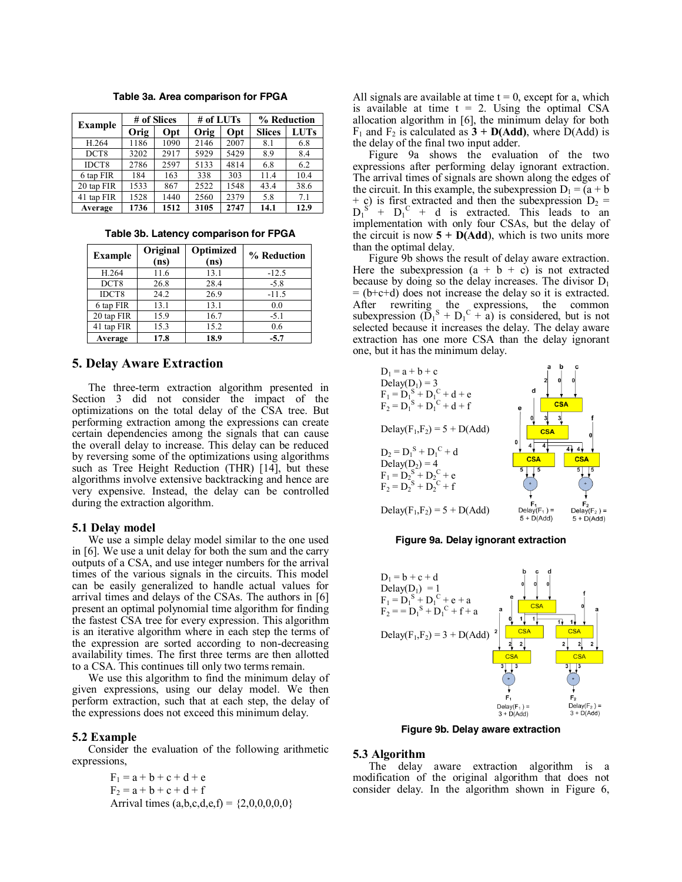| <b>Example</b>   | # of Slices |      | # of LUTs |      | % Reduction   |             |
|------------------|-------------|------|-----------|------|---------------|-------------|
|                  | Orig        | Opt  | Orig      | Opt  | <b>Slices</b> | <b>LUTs</b> |
| H.264            | 1186        | 1090 | 2146      | 2007 | 8.1           | 6.8         |
| DCT <sub>8</sub> | 3202        | 2917 | 5929      | 5429 | 8.9           | 8.4         |
| IDCT8            | 2786        | 2597 | 5133      | 4814 | 6.8           | 6.2         |
| 6 tap FIR        | 184         | 163  | 338       | 303  | 11.4          | 10.4        |
| 20 tap FIR       | 1533        | 867  | 2522      | 1548 | 43.4          | 38.6        |
| 41 tap FIR       | 1528        | 1440 | 2560      | 2379 | 5.8           | 7.1         |
| Average          | 1736        | 1512 | 3105      | 2747 | 14.1          | 12.9        |

**Table 3a. Area comparison for FPGA** 

**Table 3b. Latency comparison for FPGA** 

| Example    | Original<br>(n <sub>s</sub> ) | Optimized<br>(ns) | % Reduction |
|------------|-------------------------------|-------------------|-------------|
| H.264      | 11.6                          | 13.1              | $-12.5$     |
| DCT8       | 26.8                          | 28.4              | $-5.8$      |
| IDCT8      | 24.2                          | 26.9              | $-11.5$     |
| 6 tap FIR  | 13.1                          | 13.1              | 0.0         |
| 20 tap FIR | 15.9                          | 16.7              | $-5.1$      |
| 41 tap FIR | 15.3                          | 15.2              | 0.6         |
| Average    | 17.8                          | 18.9              | $-5.7$      |

### **5. Delay Aware Extraction**

 The three-term extraction algorithm presented in Section 3 did not consider the impact of the optimizations on the total delay of the CSA tree. But performing extraction among the expressions can create certain dependencies among the signals that can cause the overall delay to increase. This delay can be reduced by reversing some of the optimizations using algorithms such as Tree Height Reduction (THR) [14], but these algorithms involve extensive backtracking and hence are very expensive. Instead, the delay can be controlled during the extraction algorithm.

#### **5.1 Delay model**

 We use a simple delay model similar to the one used in [6]. We use a unit delay for both the sum and the carry outputs of a CSA, and use integer numbers for the arrival times of the various signals in the circuits. This model can be easily generalized to handle actual values for arrival times and delays of the CSAs. The authors in [6] present an optimal polynomial time algorithm for finding the fastest CSA tree for every expression. This algorithm is an iterative algorithm where in each step the terms of the expression are sorted according to non-decreasing availability times. The first three terms are then allotted to a CSA. This continues till only two terms remain.

 We use this algorithm to find the minimum delay of given expressions, using our delay model. We then perform extraction, such that at each step, the delay of the expressions does not exceed this minimum delay.

#### **5.2 Example**

 Consider the evaluation of the following arithmetic expressions,

> $F_1 = a + b + c + d + e$  $F_2 = a + b + c + d + f$ Arrival times  $(a,b,c,d,e,f) = \{2,0,0,0,0,0\}$

All signals are available at time  $t = 0$ , except for a, which is available at time  $t = 2$ . Using the optimal CSA allocation algorithm in [6], the minimum delay for both  $F_1$  and  $F_2$  is calculated as  $3 + D(Add)$ , where  $D(Add)$  is the delay of the final two input adder.

 Figure 9a shows the evaluation of the two expressions after performing delay ignorant extraction. The arrival times of signals are shown along the edges of the circuit. In this example, the subexpression  $D_1 = (a + b)$ + c) is first extracted and then the subexpression  $D_2$  =  $D_1^S' + D_1^C + d$  is extracted. This leads to an implementation with only four CSAs, but the delay of the circuit is now  $5 + D(Add)$ , which is two units more than the optimal delay.

 Figure 9b shows the result of delay aware extraction. Here the subexpression  $(a + b + c)$  is not extracted because by doing so the delay increases. The divisor  $D_1$  $=$  (b+c+d) does not increase the delay so it is extracted. After rewriting the expressions, the common subexpression  $(\overline{D}_1^S + D_1^C + a)$  is considered, but is not selected because it increases the delay. The delay aware extraction has one more CSA than the delay ignorant one, but it has the minimum delay.



#### **Figure 9a. Delay ignorant extraction**



**Figure 9b. Delay aware extraction** 

#### **5.3 Algorithm**

 The delay aware extraction algorithm is a modification of the original algorithm that does not consider delay. In the algorithm shown in Figure 6,